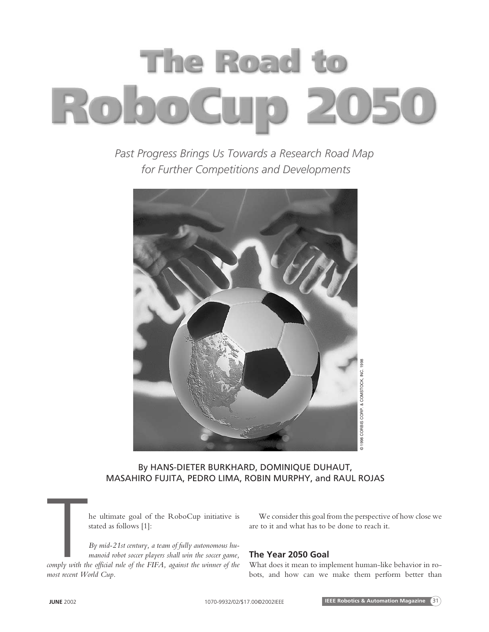# The Road to Robodup 2050

*Past Progress Brings Us Towards a Research Road Map for Further Competitions and Developments*



# By HANS-DIETER BURKHARD, DOMINIQUE DUHAUT,

stated as follows [1]:

**Example 12**<br> **comply with the ultimate goal of the RoboCup initiative is<br>** *comply with the official rule of the FIFA, against the winner of the***<br>** *comply with the official rule of the FIFA, against the winner of the***<br>** *co By mid-21st century, a team of fully autonomous humanoid robot soccer players shall win the soccer game, most recent World Cup.*

We consider this goal from the perspective of how close we are to it and what has to be done to reach it.

# **The Year 2050 Goal**

What does it mean to implement human-like behavior in robots, and how can we make them perform better than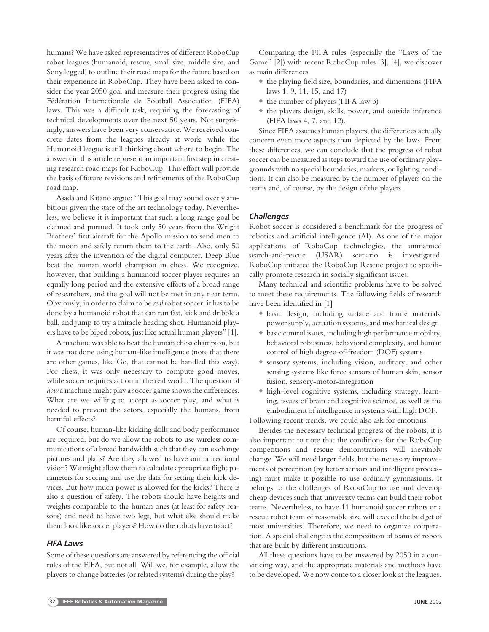humans? We have asked representatives of different RoboCup robot leagues (humanoid, rescue, small size, middle size, and Sony legged) to outline their road maps for the future based on their experience in RoboCup. They have been asked to consider the year 2050 goal and measure their progress using the Fédération Internationale de Football Association (FIFA) laws. This was a difficult task, requiring the forecasting of technical developments over the next 50 years. Not surprisingly, answers have been very conservative. We received concrete dates from the leagues already at work, while the Humanoid league is still thinking about where to begin. The answers in this article represent an important first step in creating research road maps for RoboCup. This effort will provide the basis of future revisions and refinements of the RoboCup road map.

Asada and Kitano argue: "This goal may sound overly ambitious given the state of the art technology today. Nevertheless, we believe it is important that such a long range goal be claimed and pursued. It took only 50 years from the Wright Brothers' first aircraft for the Apollo mission to send men to the moon and safely return them to the earth. Also, only 50 years after the invention of the digital computer, Deep Blue beat the human world champion in chess. We recognize, however, that building a humanoid soccer player requires an equally long period and the extensive efforts of a broad range of researchers, and the goal will not be met in any near term. Obviously, in order to claim to be *real* robot soccer, it has to be done by a humanoid robot that can run fast, kick and dribble a ball, and jump to try a miracle heading shot. Humanoid players have to be biped robots, just like actual human players" [1].

A machine was able to beat the human chess champion, but it was not done using human-like intelligence (note that there are other games, like Go, that cannot be handled this way). For chess, it was only necessary to compute good moves, while soccer requires action in the real world. The question of *how* a machine might play a soccer game shows the differences. What are we willing to accept as soccer play, and what is needed to prevent the actors, especially the humans, from harmful effects?

Of course, human-like kicking skills and body performance are required, but do we allow the robots to use wireless communications of a broad bandwidth such that they can exchange pictures and plans? Are they allowed to have omnidirectional vision? We might allow them to calculate appropriate flight parameters for scoring and use the data for setting their kick devices. But how much power is allowed for the kicks? There is also a question of safety. The robots should have heights and weights comparable to the human ones (at least for safety reasons) and need to have two legs, but what else should make them look like soccer players? How do the robots have to act?

#### *FIFA Laws*

Some of these questions are answered by referencing the official rules of the FIFA, but not all. Will we, for example, allow the players to change batteries (or related systems) during the play?

- ◆ the playing field size, boundaries, and dimensions (FIFA laws 1, 9, 11, 15, and 17)
- ◆ the number of players (FIFA law 3)
- ◆ the players design, skills, power, and outside inference (FIFA laws 4, 7, and 12).

Since FIFA assumes human players, the differences actually concern even more aspects than depicted by the laws. From these differences, we can conclude that the progress of robot soccer can be measured as steps toward the use of ordinary playgrounds with no special boundaries, markers, or lighting conditions. It can also be measured by the number of players on the teams and, of course, by the design of the players.

# *Challenges*

Robot soccer is considered a benchmark for the progress of robotics and artificial intelligence (AI). As one of the major applications of RoboCup technologies, the unmanned search-and-rescue (USAR) scenario is investigated. RoboCup initiated the RoboCup Rescue project to specifically promote research in socially significant issues.

Many technical and scientific problems have to be solved to meet these requirements. The following fields of research have been identified in [1]

- ◆ basic design, including surface and frame materials, power supply, actuation systems, and mechanical design
- ◆ basic control issues, including high performance mobility, behavioral robustness, behavioral complexity, and human control of high degree-of-freedom (DOF) systems
- ◆ sensory systems, including vision, auditory, and other sensing systems like force sensors of human skin, sensor fusion, sensory-motor-integration
- ◆ high-level cognitive systems, including strategy, learning, issues of brain and cognitive science, as well as the embodiment of intelligence in systems with high DOF.

Following recent trends, we could also ask for emotions!

Besides the necessary technical progress of the robots, it is also important to note that the conditions for the RoboCup competitions and rescue demonstrations will inevitably change. We will need larger fields, but the necessary improvements of perception (by better sensors and intelligent processing) must make it possible to use ordinary gymnasiums. It belongs to the challenges of RoboCup to use and develop cheap devices such that university teams can build their robot teams. Nevertheless, to have 11 humanoid soccer robots or a rescue robot team of reasonable size will exceed the budget of most universities. Therefore, we need to organize cooperation. A special challenge is the composition of teams of robots that are built by different institutions.

All these questions have to be answered by 2050 in a convincing way, and the appropriate materials and methods have to be developed. We now come to a closer look at the leagues.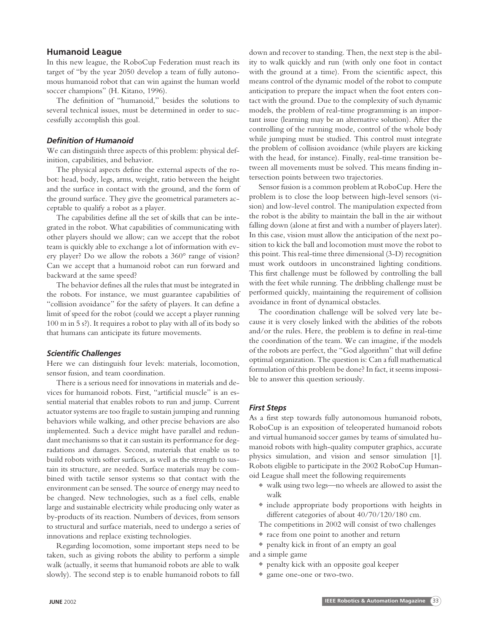#### **Humanoid League**

In this new league, the RoboCup Federation must reach its target of "by the year 2050 develop a team of fully autonomous humanoid robot that can win against the human world soccer champions" (H. Kitano, 1996).

The definition of "humanoid," besides the solutions to several technical issues, must be determined in order to successfully accomplish this goal.

#### *Definition of Humanoid*

We can distinguish three aspects of this problem: physical definition, capabilities, and behavior.

The physical aspects define the external aspects of the robot: head, body, legs, arms, weight, ratio between the height and the surface in contact with the ground, and the form of the ground surface. They give the geometrical parameters acceptable to qualify a robot as a player.

The capabilities define all the set of skills that can be integrated in the robot. What capabilities of communicating with other players should we allow; can we accept that the robot team is quickly able to exchange a lot of information with every player? Do we allow the robots a 360° range of vision? Can we accept that a humanoid robot can run forward and backward at the same speed?

The behavior defines all the rules that must be integrated in the robots. For instance, we must guarantee capabilities of "collision avoidance" for the safety of players. It can define a limit of speed for the robot (could we accept a player running 100 m in 5 s?). It requires a robot to play with all of its body so that humans can anticipate its future movements.

#### *Scientific Challenges*

Here we can distinguish four levels: materials, locomotion, sensor fusion, and team coordination.

There is a serious need for innovations in materials and devices for humanoid robots. First, "artificial muscle" is an essential material that enables robots to run and jump. Current actuator systems are too fragile to sustain jumping and running behaviors while walking, and other precise behaviors are also implemented. Such a device might have parallel and redundant mechanisms so that it can sustain its performance for degradations and damages. Second, materials that enable us to build robots with softer surfaces, as well as the strength to sustain its structure, are needed. Surface materials may be combined with tactile sensor systems so that contact with the environment can be sensed. The source of energy may need to be changed. New technologies, such as a fuel cells, enable large and sustainable electricity while producing only water as by-products of its reaction. Numbers of devices, from sensors to structural and surface materials, need to undergo a series of innovations and replace existing technologies.

Regarding locomotion, some important steps need to be taken, such as giving robots the ability to perform a simple walk (actually, it seems that humanoid robots are able to walk slowly). The second step is to enable humanoid robots to fall

down and recover to standing. Then, the next step is the ability to walk quickly and run (with only one foot in contact with the ground at a time). From the scientific aspect, this means control of the dynamic model of the robot to compute anticipation to prepare the impact when the foot enters contact with the ground. Due to the complexity of such dynamic models, the problem of real-time programming is an important issue (learning may be an alternative solution). After the controlling of the running mode, control of the whole body while jumping must be studied. This control must integrate the problem of collision avoidance (while players are kicking with the head, for instance). Finally, real-time transition between all movements must be solved. This means finding intersection points between two trajectories.

Sensor fusion is a common problem at RoboCup. Here the problem is to close the loop between high-level sensors (vision) and low-level control. The manipulation expected from the robot is the ability to maintain the ball in the air without falling down (alone at first and with a number of players later). In this case, vision must allow the anticipation of the next position to kick the ball and locomotion must move the robot to this point. This real-time three dimensional (3-D) recognition must work outdoors in unconstrained lighting conditions. This first challenge must be followed by controlling the ball with the feet while running. The dribbling challenge must be performed quickly, maintaining the requirement of collision avoidance in front of dynamical obstacles.

The coordination challenge will be solved very late because it is very closely linked with the abilities of the robots and/or the rules. Here, the problem is to define in real-time the coordination of the team. We can imagine, if the models of the robots are perfect, the "God algorithm" that will define optimal organization. The question is: Can a full mathematical formulation of this problem be done? In fact, it seems impossible to answer this question seriously.

#### *First Steps*

As a first step towards fully autonomous humanoid robots, RoboCup is an exposition of teleoperated humanoid robots and virtual humanoid soccer games by teams of simulated humanoid robots with high-quality computer graphics, accurate physics simulation, and vision and sensor simulation [1]. Robots eligible to participate in the 2002 RoboCup Humanoid League shall meet the following requirements

- ◆ walk using two legs—no wheels are allowed to assist the walk
- ◆ include appropriate body proportions with heights in different categories of about 40/70/120/180 cm.
- The competitions in 2002 will consist of two challenges
- ◆ race from one point to another and return
- ◆ penalty kick in front of an empty an goal
- and a simple game
	- ◆ penalty kick with an opposite goal keeper
	- ◆ game one-one or two-two.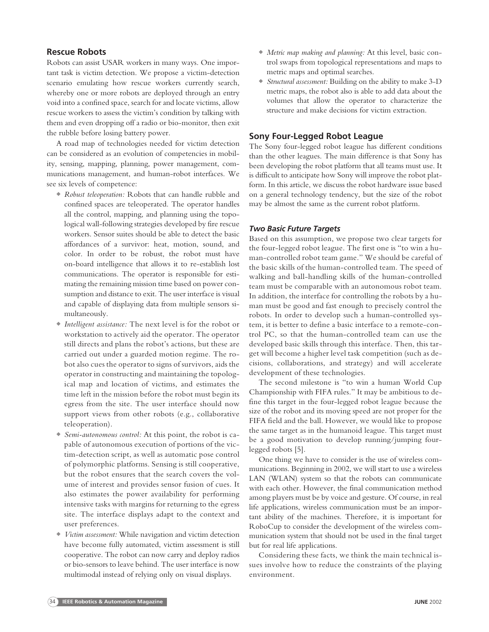#### **Rescue Robots**

Robots can assist USAR workers in many ways. One important task is victim detection. We propose a victim-detection scenario emulating how rescue workers currently search, whereby one or more robots are deployed through an entry void into a confined space, search for and locate victims, allow rescue workers to assess the victim's condition by talking with them and even dropping off a radio or bio-monitor, then exit the rubble before losing battery power.

A road map of technologies needed for victim detection can be considered as an evolution of competencies in mobility, sensing, mapping, planning, power management, communications management, and human-robot interfaces. We see six levels of competence:

- ◆ *Robust teleoperation:* Robots that can handle rubble and confined spaces are teleoperated. The operator handles all the control, mapping, and planning using the topological wall-following strategies developed by fire rescue workers. Sensor suites should be able to detect the basic affordances of a survivor: heat, motion, sound, and color. In order to be robust, the robot must have on-board intelligence that allows it to re-establish lost communications. The operator is responsible for estimating the remaining mission time based on power consumption and distance to exit. The user interface is visual and capable of displaying data from multiple sensors simultaneously.
- ◆ *Intelligent assistance:* The next level is for the robot or workstation to actively aid the operator. The operator still directs and plans the robot's actions, but these are carried out under a guarded motion regime. The robot also cues the operator to signs of survivors, aids the operator in constructing and maintaining the topological map and location of victims, and estimates the time left in the mission before the robot must begin its egress from the site. The user interface should now support views from other robots (e.g., collaborative teleoperation).
- ◆ *Semi-autonomous control:* At this point, the robot is capable of autonomous execution of portions of the victim-detection script, as well as automatic pose control of polymorphic platforms. Sensing is still cooperative, but the robot ensures that the search covers the volume of interest and provides sensor fusion of cues. It also estimates the power availability for performing intensive tasks with margins for returning to the egress site. The interface displays adapt to the context and user preferences.
- ◆ *Victim assessment:* While navigation and victim detection have become fully automated, victim assessment is still cooperative. The robot can now carry and deploy radios or bio-sensors to leave behind. The user interface is now multimodal instead of relying only on visual displays.
- ◆ *Metric map making and planning:* At this level, basic control swaps from topological representations and maps to metric maps and optimal searches.
- ◆ *Structural assessment:* Building on the ability to make 3-D metric maps, the robot also is able to add data about the volumes that allow the operator to characterize the structure and make decisions for victim extraction.

# **Sony Four-Legged Robot League**

The Sony four-legged robot league has different conditions than the other leagues. The main difference is that Sony has been developing the robot platform that all teams must use. It is difficult to anticipate how Sony will improve the robot platform. In this article, we discuss the robot hardware issue based on a general technology tendency, but the size of the robot may be almost the same as the current robot platform.

#### *Two Basic Future Targets*

Based on this assumption, we propose two clear targets for the four-legged robot league. The first one is "to win a human-controlled robot team game." We should be careful of the basic skills of the human-controlled team. The speed of walking and ball-handling skills of the human-controlled team must be comparable with an autonomous robot team. In addition, the interface for controlling the robots by a human must be good and fast enough to precisely control the robots. In order to develop such a human-controlled system, it is better to define a basic interface to a remote-control PC, so that the human-controlled team can use the developed basic skills through this interface. Then, this target will become a higher level task competition (such as decisions, collaborations, and strategy) and will accelerate development of these technologies.

The second milestone is "to win a human World Cup Championship with FIFA rules." It may be ambitious to define this target in the four-legged robot league because the size of the robot and its moving speed are not proper for the FIFA field and the ball. However, we would like to propose the same target as in the humanoid league. This target must be a good motivation to develop running/jumping fourlegged robots [5].

One thing we have to consider is the use of wireless communications. Beginning in 2002, we will start to use a wireless LAN (WLAN) system so that the robots can communicate with each other. However, the final communication method among players must be by voice and gesture. Of course, in real life applications, wireless communication must be an important ability of the machines. Therefore, it is important for RoboCup to consider the development of the wireless communication system that should not be used in the final target but for real life applications.

Considering these facts, we think the main technical issues involve how to reduce the constraints of the playing environment.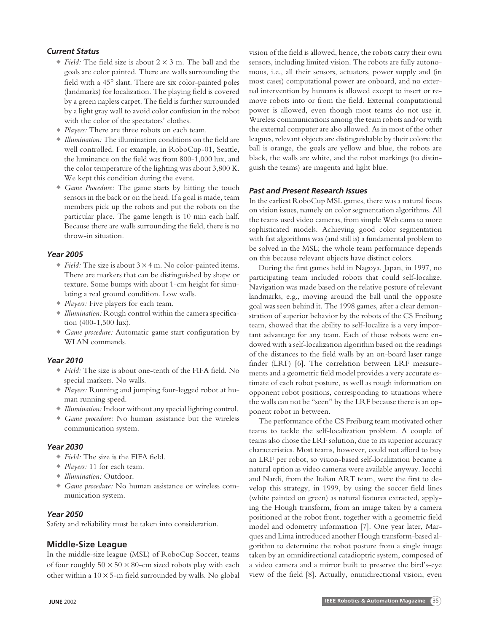# *Current Status*

- ◆ *Field:* The field size is about 2 × 3 m. The ball and the goals are color painted. There are walls surrounding the field with a 45° slant. There are six color-painted poles (landmarks) for localization. The playing field is covered by a green napless carpet. The field is further surrounded by a light gray wall to avoid color confusion in the robot with the color of the spectators' clothes.
- ◆ *Players:* There are three robots on each team.
- ◆ *Illumination:* The illumination conditions on the field are well controlled. For example, in RoboCup-01, Seattle, the luminance on the field was from 800-1,000 lux, and the color temperature of the lighting was about 3,800 K. We kept this condition during the event.
- ◆ *Game Procedure:* The game starts by hitting the touch sensors in the back or on the head. If a goal is made, team members pick up the robots and put the robots on the particular place. The game length is 10 min each half. Because there are walls surrounding the field, there is no throw-in situation.

# *Year 2005*

- ◆ *Field:* The size is about 3 × 4 m. No color-painted items. There are markers that can be distinguished by shape or texture. Some bumps with about 1-cm height for simulating a real ground condition. Low walls.
- ◆ *Players:* Five players for each team.
- ◆ *Illumination:* Rough control within the camera specification (400-1,500 lux).
- ◆ *Game procedure:* Automatic game start configuration by WLAN commands.

# *Year 2010*

- ◆ *Field:* The size is about one-tenth of the FIFA field. No special markers. No walls.
- ◆ *Players:* Running and jumping four-legged robot at human running speed.
- ◆ *Illumination:* Indoor without any special lighting control.
- ◆ *Game procedure:* No human assistance but the wireless communication system.

# *Year 2030*

- ◆ *Field:* The size is the FIFA field.
- ◆ *Players:* 11 for each team.
- ◆ *Illumination:* Outdoor.
- ◆ *Game procedure:* No human assistance or wireless communication system.

# *Year 2050*

Safety and reliability must be taken into consideration.

# **Middle-Size League**

In the middle-size league (MSL) of RoboCup Soccer, teams of four roughly  $50 \times 50 \times 80$ -cm sized robots play with each other within a  $10 \times 5$ -m field surrounded by walls. No global

vision of the field is allowed, hence, the robots carry their own sensors, including limited vision. The robots are fully autonomous, i.e., all their sensors, actuators, power supply and (in most cases) computational power are onboard, and no external intervention by humans is allowed except to insert or remove robots into or from the field. External computational power is allowed, even though most teams do not use it. Wireless communications among the team robots and/or with the external computer are also allowed. As in most of the other leagues, relevant objects are distinguishable by their colors: the ball is orange, the goals are yellow and blue, the robots are black, the walls are white, and the robot markings (to distinguish the teams) are magenta and light blue.

# *Past and Present Research Issues*

In the earliest RoboCup MSL games, there was a natural focus on vision issues, namely on color segmentation algorithms. All the teams used video cameras, from simple Web cams to more sophisticated models. Achieving good color segmentation with fast algorithms was (and still is) a fundamental problem to be solved in the MSL; the whole team performance depends on this because relevant objects have distinct colors.

During the first games held in Nagoya, Japan, in 1997, no participating team included robots that could self-localize. Navigation was made based on the relative posture of relevant landmarks, e.g., moving around the ball until the opposite goal was seen behind it. The 1998 games, after a clear demonstration of superior behavior by the robots of the CS Freiburg team, showed that the ability to self-localize is a very important advantage for any team. Each of those robots were endowed with a self-localization algorithm based on the readings of the distances to the field walls by an on-board laser range finder (LRF) [6]. The correlation between LRF measurements and a geometric field model provides a very accurate estimate of each robot posture, as well as rough information on opponent robot positions, corresponding to situations where the walls can not be "seen" by the LRF because there is an opponent robot in between.

The performance of the CS Freiburg team motivated other teams to tackle the self-localization problem. A couple of teams also chose the LRF solution, due to its superior accuracy characteristics. Most teams, however, could not afford to buy an LRF per robot, so vision-based self-localization became a natural option as video cameras were available anyway. Iocchi and Nardi, from the Italian ART team, were the first to develop this strategy, in 1999, by using the soccer field lines (white painted on green) as natural features extracted, applying the Hough transform, from an image taken by a camera positioned at the robot front, together with a geometric field model and odometry information [7]. One year later, Marques and Lima introduced another Hough transform-based algorithm to determine the robot posture from a single image taken by an omnidirectional catadioptric system, composed of a video camera and a mirror built to preserve the bird's-eye view of the field [8]. Actually, omnidirectional vision, even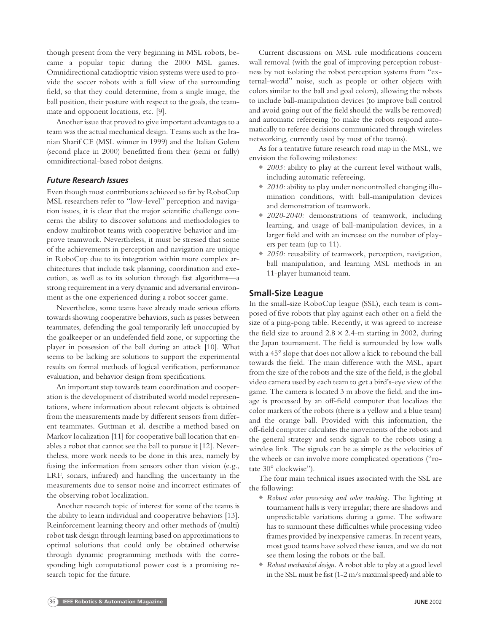though present from the very beginning in MSL robots, became a popular topic during the 2000 MSL games. Omnidirectional catadioptric vision systems were used to provide the soccer robots with a full view of the surrounding field, so that they could determine, from a single image, the ball position, their posture with respect to the goals, the teammate and opponent locations, etc. [9].

Another issue that proved to give important advantages to a team was the actual mechanical design. Teams such as the Iranian Sharif CE (MSL winner in 1999) and the Italian Golem (second place in 2000) benefitted from their (semi or fully) omnidirectional-based robot designs.

#### *Future Research Issues*

Even though most contributions achieved so far by RoboCup MSL researchers refer to "low-level" perception and navigation issues, it is clear that the major scientific challenge concerns the ability to discover solutions and methodologies to endow multirobot teams with cooperative behavior and improve teamwork. Nevertheless, it must be stressed that some of the achievements in perception and navigation are unique in RoboCup due to its integration within more complex architectures that include task planning, coordination and execution, as well as to its solution through fast algorithms—a strong requirement in a very dynamic and adversarial environment as the one experienced during a robot soccer game.

Nevertheless, some teams have already made serious efforts towards showing cooperative behaviors, such as passes between teammates, defending the goal temporarily left unoccupied by the goalkeeper or an undefended field zone, or supporting the player in possession of the ball during an attack [10]. What seems to be lacking are solutions to support the experimental results on formal methods of logical verification, performance evaluation, and behavior design from specifications.

An important step towards team coordination and cooperation is the development of distributed world model representations, where information about relevant objects is obtained from the measurements made by different sensors from different teammates. Guttman et al. describe a method based on Markov localization [11] for cooperative ball location that enables a robot that cannot see the ball to pursue it [12]. Nevertheless, more work needs to be done in this area, namely by fusing the information from sensors other than vision (e.g., LRF, sonars, infrared) and handling the uncertainty in the measurements due to sensor noise and incorrect estimates of the observing robot localization.

Another research topic of interest for some of the teams is the ability to learn individual and cooperative behaviors [13]. Reinforcement learning theory and other methods of (multi) robot task design through learning based on approximations to optimal solutions that could only be obtained otherwise through dynamic programming methods with the corresponding high computational power cost is a promising research topic for the future.

Current discussions on MSL rule modifications concern wall removal (with the goal of improving perception robustness by not isolating the robot perception systems from "external-world" noise, such as people or other objects with colors similar to the ball and goal colors), allowing the robots to include ball-manipulation devices (to improve ball control and avoid going out of the field should the walls be removed) and automatic refereeing (to make the robots respond automatically to referee decisions communicated through wireless networking, currently used by most of the teams).

As for a tentative future research road map in the MSL, we envision the following milestones:

- ◆ *2005:* ability to play at the current level without walls, including automatic refereeing.
- ◆ *2010:* ability to play under noncontrolled changing illumination conditions, with ball-manipulation devices and demonstration of teamwork.
- ◆ *2020-2040:* demonstrations of teamwork, including learning, and usage of ball-manipulation devices, in a larger field and with an increase on the number of players per team (up to 11).
- ◆ *2050:* reusability of teamwork, perception, navigation, ball manipulation, and learning MSL methods in an 11-player humanoid team.

# **Small-Size League**

In the small-size RoboCup league (SSL), each team is composed of five robots that play against each other on a field the size of a ping-pong table. Recently, it was agreed to increase the field size to around  $2.8 \times 2.4$ -m starting in 2002, during the Japan tournament. The field is surrounded by low walls with a 45° slope that does not allow a kick to rebound the ball towards the field. The main difference with the MSL, apart from the size of the robots and the size of the field, is the global video camera used by each team to get a bird's-eye view of the game. The camera is located 3 m above the field, and the image is processed by an off-field computer that localizes the color markers of the robots (there is a yellow and a blue team) and the orange ball. Provided with this information, the off-field computer calculates the movements of the robots and the general strategy and sends signals to the robots using a wireless link. The signals can be as simple as the velocities of the wheels or can involve more complicated operations ("rotate 30° clockwise").

The four main technical issues associated with the SSL are the following:

- ◆ *Robust color processing and color tracking.* The lighting at tournament halls is very irregular; there are shadows and unpredictable variations during a game. The software has to surmount these difficulties while processing video frames provided by inexpensive cameras. In recent years, most good teams have solved these issues, and we do not see them losing the robots or the ball.
- ◆ *Robust mechanical design.* A robot able to play at a good level in the SSL must be fast (1-2 m/s maximal speed) and able to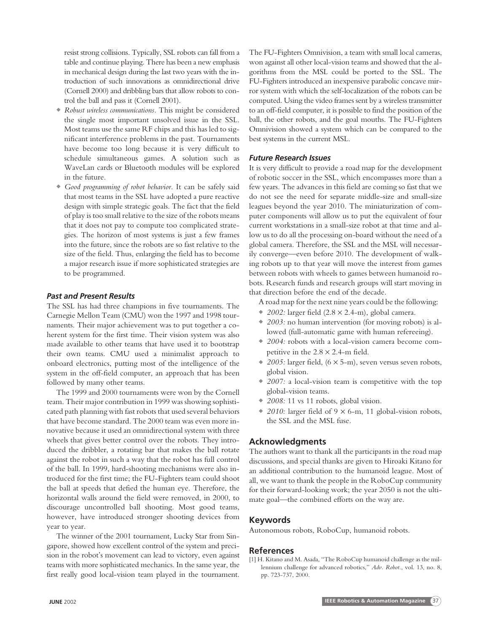resist strong collisions. Typically, SSL robots can fall from a table and continue playing. There has been a new emphasis in mechanical design during the last two years with the introduction of such innovations as omnidirectional drive (Cornell 2000) and dribbling bars that allow robots to control the ball and pass it (Cornell 2001).

- ◆ *Robust wireless communications.* This might be considered the single most important unsolved issue in the SSL. Most teams use the same RF chips and this has led to significant interference problems in the past. Tournaments have become too long because it is very difficult to schedule simultaneous games. A solution such as WaveLan cards or Bluetooth modules will be explored in the future.
- ◆ *Good programming of robot behavior.* It can be safely said that most teams in the SSL have adopted a pure reactive design with simple strategic goals. The fact that the field of play is too small relative to the size of the robots means that it does not pay to compute too complicated strategies. The horizon of most systems is just a few frames into the future, since the robots are so fast relative to the size of the field. Thus, enlarging the field has to become a major research issue if more sophisticated strategies are to be programmed.

#### *Past and Present Results*

The SSL has had three champions in five tournaments. The Carnegie Mellon Team (CMU) won the 1997 and 1998 tournaments. Their major achievement was to put together a coherent system for the first time. Their vision system was also made available to other teams that have used it to bootstrap their own teams. CMU used a minimalist approach to onboard electronics, putting most of the intelligence of the system in the off-field computer, an approach that has been followed by many other teams.

The 1999 and 2000 tournaments were won by the Cornell team. Their major contribution in 1999 was showing sophisticated path planning with fast robots that used several behaviors that have become standard. The 2000 team was even more innovative because it used an omnidirectional system with three wheels that gives better control over the robots. They introduced the dribbler, a rotating bar that makes the ball rotate against the robot in such a way that the robot has full control of the ball. In 1999, hard-shooting mechanisms were also introduced for the first time; the FU-Fighters team could shoot the ball at speeds that defied the human eye. Therefore, the horizontal walls around the field were removed, in 2000, to discourage uncontrolled ball shooting. Most good teams, however, have introduced stronger shooting devices from year to year.

The winner of the 2001 tournament, Lucky Star from Singapore, showed how excellent control of the system and precision in the robot's movement can lead to victory, even against teams with more sophisticated mechanics. In the same year, the first really good local-vision team played in the tournament. The FU-Fighters Omnivision, a team with small local cameras, won against all other local-vision teams and showed that the algorithms from the MSL could be ported to the SSL. The FU-Fighters introduced an inexpensive parabolic concave mirror system with which the self-localization of the robots can be computed. Using the video frames sent by a wireless transmitter to an off-field computer, it is possible to find the position of the ball, the other robots, and the goal mouths. The FU-Fighters Omnivision showed a system which can be compared to the best systems in the current MSL.

#### *Future Research Issues*

It is very difficult to provide a road map for the development of robotic soccer in the SSL, which encompasses more than a few years. The advances in this field are coming so fast that we do not see the need for separate middle-size and small-size leagues beyond the year 2010. The miniaturization of computer components will allow us to put the equivalent of four current workstations in a small-size robot at that time and allow us to do all the processing on-board without the need of a global camera. Therefore, the SSL and the MSL will necessarily converge—even before 2010. The development of walking robots up to that year will move the interest from games between robots with wheels to games between humanoid robots. Research funds and research groups will start moving in that direction before the end of the decade.

- A road map for the next nine years could be the following:
- ◆ *2002:* larger field (2.8 × 2.4-m), global camera.
- ◆ *2003*: no human intervention (for moving robots) is allowed (full-automatic game with human refereeing).
- ◆ *2004:* robots with a local-vision camera become competitive in the  $2.8 \times 2.4$ -m field.
- ◆ *2005:* larger field, (6 × 5-m), seven versus seven robots, global vision.
- ◆ *2007:* a local-vision team is competitive with the top global-vision teams.
- ◆ *2008:* 11 vs 11 robots, global vision.
- $\rightarrow$  *2010:* larger field of 9  $\times$  6-m, 11 global-vision robots, the SSL and the MSL fuse.

# **Acknowledgments**

The authors want to thank all the participants in the road map discussions, and special thanks are given to Hiroaki Kitano for an additional contribution to the humanoid league. Most of all, we want to thank the people in the RoboCup community for their forward-looking work; the year 2050 is not the ultimate goal—the combined efforts on the way are.

# **Keywords**

Autonomous robots, RoboCup, humanoid robots.

#### **References**

[1] H. Kitano and M. Asada, "The RoboCup humanoid challenge as the millennium challenge for advanced robotics," *Adv. Robot.*, vol. 13, no. 8, pp. 723-737, 2000.